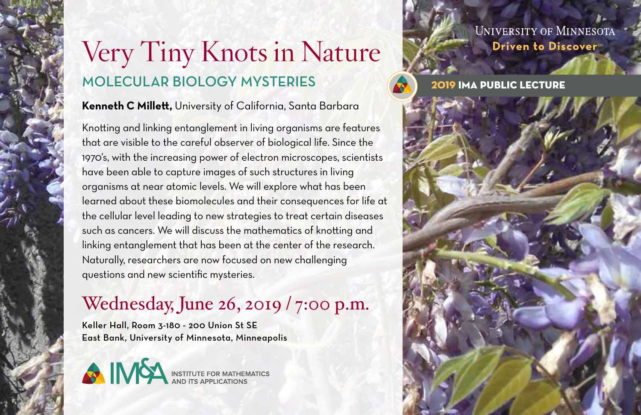# Very Tiny Knots in Nature molecular biology mysteries

### **Kenneth C Millett,** University of California, Santa Barbara

Knotting and linking entanglement in living organisms are features that are visible to the careful observer of biological life. Since the 1970's, with the increasing power of electron microscopes, scientists have been able to capture images of such structures in living organisms at near atomic levels. We will explore what has been learned about these biomolecules and their consequences for life at the cellular level leading to new strategies to treat certain diseases such as cancers. We will discuss the mathematics of knotting and linking entanglement that has been at the center of the research. Naturally, researchers are now focused on new challenging questions and new scientific mysteries.

## Wednesday, June 26, 2019 / 7:00 p.m.

Keller Hall, Room 3-180 - 200 Union St SE East Bank, University of Minnesota, Minneapolis



**UNIVERSITY OF MINNESOTA** Driven to DiscoversM

2019 IMA Public Lecture